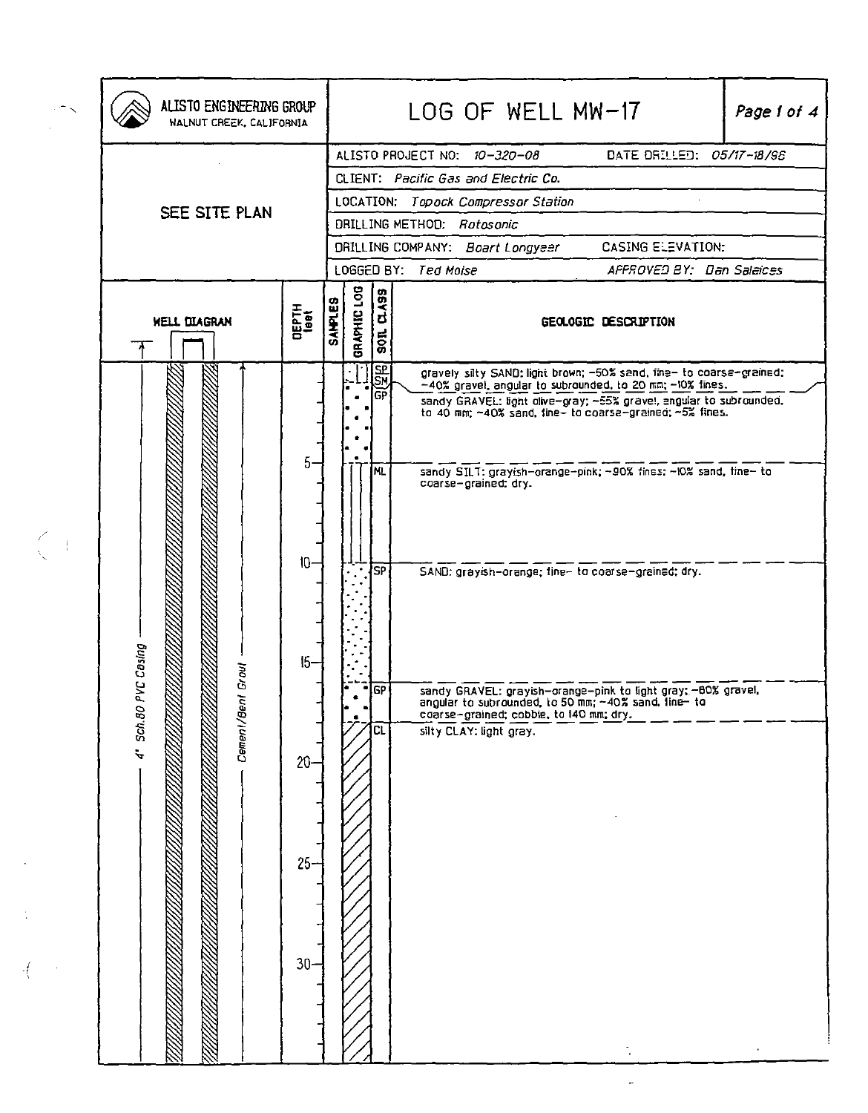| ALISTO ENGINEERING GROUP<br>WALNUT CREEK, CALIFORNIA |                                                  |                |                                                                                                                                                                                                                                                                                      |                                                        |  | LOG OF WELL MW-17                               |                                         |  |                                                                                                                                                                                                                                                                                                               | Page 1 of 4 |                                                                                                                                                                                                        |
|------------------------------------------------------|--------------------------------------------------|----------------|--------------------------------------------------------------------------------------------------------------------------------------------------------------------------------------------------------------------------------------------------------------------------------------|--------------------------------------------------------|--|-------------------------------------------------|-----------------------------------------|--|---------------------------------------------------------------------------------------------------------------------------------------------------------------------------------------------------------------------------------------------------------------------------------------------------------------|-------------|--------------------------------------------------------------------------------------------------------------------------------------------------------------------------------------------------------|
| SEE SITE PLAN                                        |                                                  |                | ALISTO PROJECT NO: 10-320-08<br>DATE DRILLED: 05/17-18/95<br>CLIENT: Pacific Gas and Electric Co.<br>LOCATION: Topock Compressor Station<br>DRILLING METHOD: Rotosonic<br>CASING ELEVATION:<br>DRILLING COMPANY: Boart Longyeer<br>LOGGED BY: Ted Moise<br>APPROVED BY: Dan Salaices |                                                        |  |                                                 |                                         |  |                                                                                                                                                                                                                                                                                                               |             |                                                                                                                                                                                                        |
| <b>WELL DIAGRAN</b>                                  | <b>UEPTH</b><br>1981                             | <b>SANPLES</b> | BRAPHIC LOG                                                                                                                                                                                                                                                                          | <b>D.A99</b><br>$\frac{1005}{20}$                      |  |                                                 |                                         |  | GEOLOGIC DESCRIPTION                                                                                                                                                                                                                                                                                          |             |                                                                                                                                                                                                        |
| 4" Sch. 80 PVC Casing<br>Growl<br>Cement/Ben         | 5.<br>10<br>$15 -$<br>$20 -$<br>$25 -$<br>$30 -$ |                |                                                                                                                                                                                                                                                                                      | SM<br>SM<br>lன<br>ML.<br><b>SP</b><br><b>IGP</b><br>CL |  | coarse-grained; dry.<br>silty CLAY: light gray. | coarse-grained; cobble, to 140 mm; dry. |  | -40% gravel, angular to subrounded, to 20 mm; -10% fines.<br>sandy SILT: grayish-orange-pink; ~90% fines; ~10% sand, fine- to<br>SAND: grayish-orange; tine- to coarse-grained; dry.<br>sandy GRAVEL: grayish-orange-pink to light gray; -80% gravel,<br>angular to subrounded, to 50 mm; ~40% sand, line- to |             | gravely silty SAND: light brown; -50% sand, fine- to coarse-grained;<br>sandy GRAVEL: light dive-gray: ~55% gravel, angular to subrounded,<br>to 40 mm; ~40% sand, fine- to coarse-grained; ~5% fines. |

 $\mathcal{F}_{\mathcal{G}}$ 

 $\frac{1}{2}$ 

 $\frac{1}{\sqrt{2}}\left(\frac{1}{\sqrt{2}}\right)^{\frac{1}{2}}$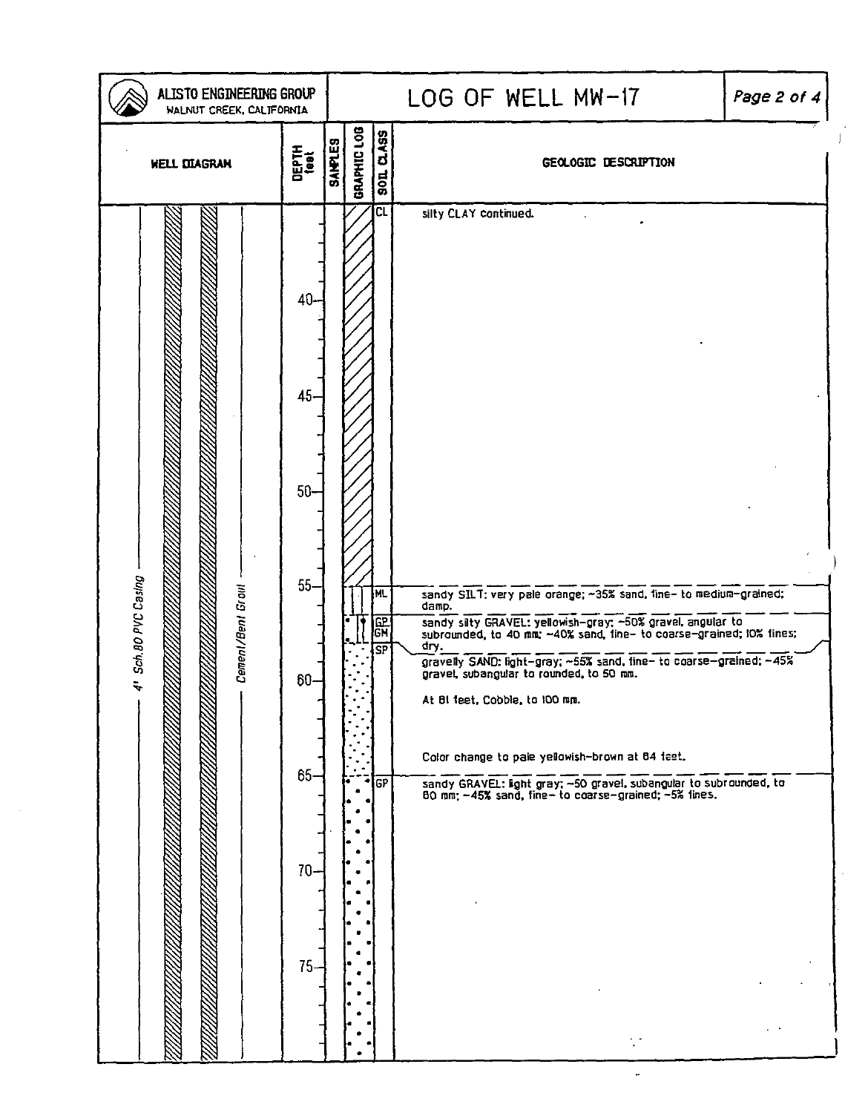| ALISTO ENGINEERING GROUP<br>WALNUT CREEK, CALIFORNIA |                                                                  | LOG OF WELL MW-17<br>Page 2 of 4 |                                        |                                                                                                                                                                                                                                                                                                                                                                                                                                                                                                                                                                                    |  |  |  |
|------------------------------------------------------|------------------------------------------------------------------|----------------------------------|----------------------------------------|------------------------------------------------------------------------------------------------------------------------------------------------------------------------------------------------------------------------------------------------------------------------------------------------------------------------------------------------------------------------------------------------------------------------------------------------------------------------------------------------------------------------------------------------------------------------------------|--|--|--|
| <b>DEPTH</b><br>1881<br><b>WELL DIAGRAM</b>          |                                                                  | GRAPHIC LOG<br><b>SANPLES</b>    | <b>SOL CLASS</b>                       | GEOLOGIC DESCRIPTION                                                                                                                                                                                                                                                                                                                                                                                                                                                                                                                                                               |  |  |  |
| 4" Sch. 80 PVC Casing<br>Cement/Bent Grout           | 40-<br>45<br>$50-$<br>$55-$<br>60-<br>$65 -$<br>$70 -$<br>$75 -$ |                                  | CL<br><b>NL</b><br>유민<br>오<br>SP<br>GP | silty CLAY continued.<br>sandy SILT: very pale orange; ~35% sand, fine- to medium-grained;<br>damp.<br>sandy sity GRAVEL: yellowish-gray; ~50% gravel, angular to subrounded, to 40 mm; ~40% sand, tine- to coarse-grained; 10% tines;<br>cry.<br>gravelly SAND: light-gray; ~55% sand, fine- to coarse-grained; ~45%<br>gravel, subangular to rounded, to 50 mm.<br>At BI feet, Cobble, to 100 mm.<br>Color change to pale yellowish-brown at 84 feet.<br>sandy GRAVEL: kght gray; ~50 gravel, subangular to subrounded, to 80 mm; ~45% sand, fine- to coarse-grained; ~5% fines. |  |  |  |

 $\int$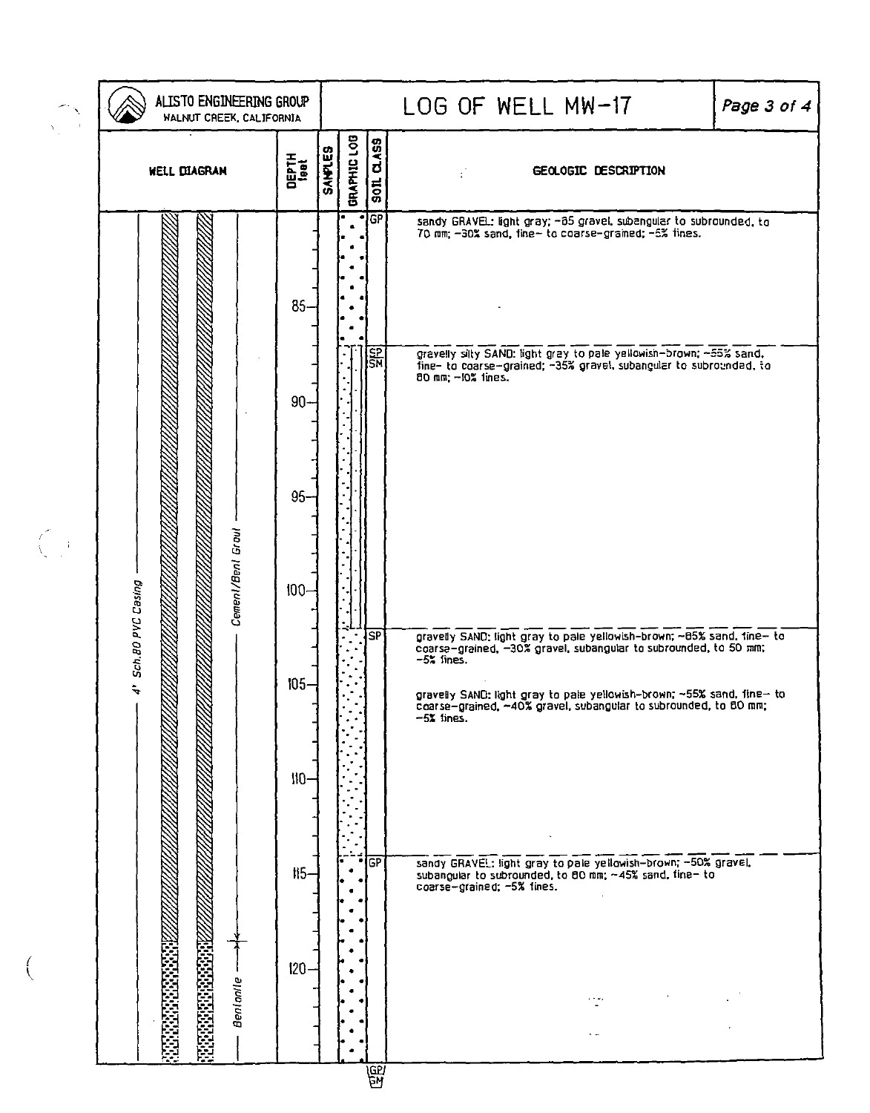| ALISTO ENGINEERING GROUP<br>WALNUT CREEK, CALIFORNIA              |         |  | LOG OF WELL MW-17<br>Page 3 of 4 |           |                                                                                                                                                                                                                                                                                                                                       |  |
|-------------------------------------------------------------------|---------|--|----------------------------------|-----------|---------------------------------------------------------------------------------------------------------------------------------------------------------------------------------------------------------------------------------------------------------------------------------------------------------------------------------------|--|
| <b>SANAICS</b><br>DEPTH<br><sup>1991</sup><br><b>WELL DIAGRAN</b> |         |  | <b>GRAPHIC LOB</b>               | son a Ass | GEOLOGIC DESCRIPTION                                                                                                                                                                                                                                                                                                                  |  |
|                                                                   | $85 -$  |  |                                  | नद्धा     | sandy GRAVEL: light gray; -85 gravel, subangular to subrounded, to<br>70 mm; -30% sand, fine- to coarse-grained; -5% fines.                                                                                                                                                                                                           |  |
|                                                                   | $90 -$  |  |                                  | SH<br>SM  | gravelly silty SAND: light gray to pale yellowish-brown; ~55% sand, fine- to coarse-grained; ~35% gravel, subangular to subrounded, to<br>80 mm - 10% lines.                                                                                                                                                                          |  |
|                                                                   | $95 -$  |  |                                  |           |                                                                                                                                                                                                                                                                                                                                       |  |
| Cement/Bent Grout                                                 | $100 -$ |  |                                  |           |                                                                                                                                                                                                                                                                                                                                       |  |
| 4' Sch.80 PVC Casing                                              | $105 -$ |  |                                  | SP        | gravelly SAND: light gray to pale yellowish-brown; ~05% sand, tine- to<br>coarse-grained, ~30% gravel, subangular to subrounded, to 50 mm;<br>$-5$ $\frac{2}{3}$ fines.<br>gravelly SAND: light gray to pale yellowish-brown; ~55% sand, fine- to<br>coarse-grained, ~40% gravel, subangular to subrounded, to 80 mm;<br>$-52$ fines. |  |
|                                                                   | $110-$  |  |                                  |           |                                                                                                                                                                                                                                                                                                                                       |  |
|                                                                   | $115-$  |  |                                  | ∫GP       | sandy GRAVEL: light gray to pale yellowish-brown; -50% gravel,<br>subangular to subrounded, to 80 mm; ~45% sand, fine- to<br>coarse-grained; -5% lines.                                                                                                                                                                               |  |
| Benlanle                                                          | $120 -$ |  |                                  |           | $\cdots$                                                                                                                                                                                                                                                                                                                              |  |

 $\overline{a}$